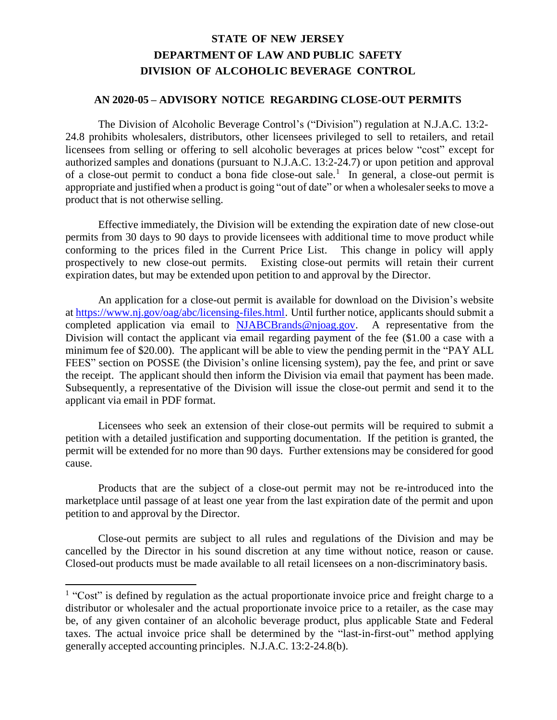## **STATE OF NEW JERSEY DEPARTMENT OF LAW AND PUBLIC SAFETY DIVISION OF ALCOHOLIC BEVERAGE CONTROL**

## **AN 2020-05 – ADVISORY NOTICE REGARDING CLOSE-OUT PERMITS**

The Division of Alcoholic Beverage Control's ("Division") regulation at N.J.A.C. 13:2- 24.8 prohibits wholesalers, distributors, other licensees privileged to sell to retailers, and retail licensees from selling or offering to sell alcoholic beverages at prices below "cost" except for authorized samples and donations (pursuant to N.J.A.C. 13:2-24.7) or upon petition and approval of a close-out permit to conduct a bona fide close-out sale.<sup>1</sup> In general, a close-out permit is appropriate and justified when a product is going "out of date" or when a wholesaler seeks to move a product that is not otherwise selling.

Effective immediately, the Division will be extending the expiration date of new close-out permits from 30 days to 90 days to provide licensees with additional time to move product while conforming to the prices filed in the Current Price List. This change in policy will apply prospectively to new close-out permits. Existing close-out permits will retain their current expiration dates, but may be extended upon petition to and approval by the Director.

An application for a close-out permit is available for download on the Division's website at [https://www.nj.gov/oag/abc/licensing-files.html.](https://www.nj.gov/oag/abc/licensing-files.html) Until further notice, applicants should submit a completed application via email to [NJABCBrands@njoag.gov. A](mailto:NJABCBrands@njoag.gov) representative from the Division will contact the applicant via email regarding payment of the fee (\$1.00 a case with a minimum fee of \$20.00). The applicant will be able to view the pending permit in the "PAY ALL FEES" section on POSSE (the Division's online licensing system), pay the fee, and print or save the receipt. The applicant should then inform the Division via email that payment has been made. Subsequently, a representative of the Division will issue the close-out permit and send it to the applicant via email in PDF format.

Licensees who seek an extension of their close-out permits will be required to submit a petition with a detailed justification and supporting documentation. If the petition is granted, the permit will be extended for no more than 90 days. Further extensions may be considered for good cause.

Products that are the subject of a close-out permit may not be re-introduced into the marketplace until passage of at least one year from the last expiration date of the permit and upon petition to and approval by the Director.

Close-out permits are subject to all rules and regulations of the Division and may be cancelled by the Director in his sound discretion at any time without notice, reason or cause. Closed-out products must be made available to all retail licensees on a non-discriminatory basis.

<sup>&</sup>lt;sup>1</sup> "Cost" is defined by regulation as the actual proportionate invoice price and freight charge to a distributor or wholesaler and the actual proportionate invoice price to a retailer, as the case may be, of any given container of an alcoholic beverage product, plus applicable State and Federal taxes. The actual invoice price shall be determined by the "last-in-first-out" method applying generally accepted accounting principles. N.J.A.C. 13:2-24.8(b).